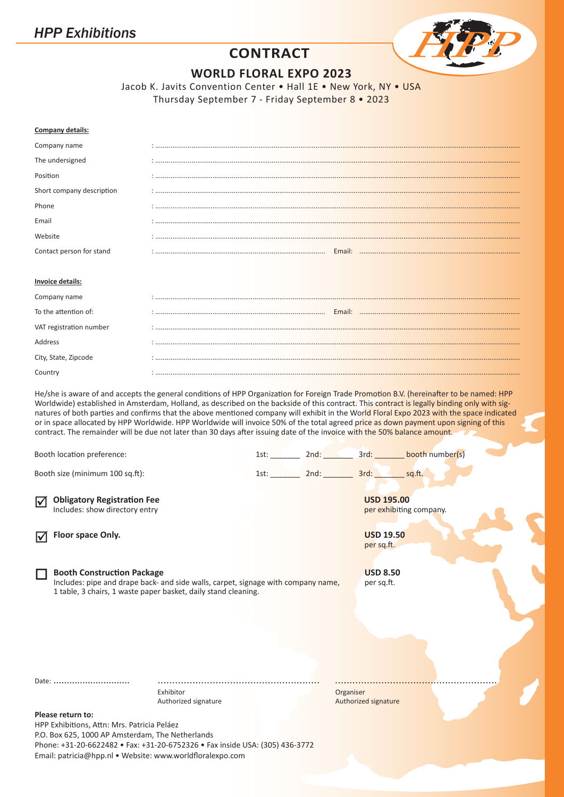

# **CONTRACT**

**WORLD FLORAL EXPO 2023**

Jacob K. Javits Convention Center • Hall 1E • New York, NY • USA Thursday September 7 - Friday September 8 • 2023

| Company details:                                                                                                                                                                         |                                   |  |           |                                                                   |
|------------------------------------------------------------------------------------------------------------------------------------------------------------------------------------------|-----------------------------------|--|-----------|-------------------------------------------------------------------|
| Company name                                                                                                                                                                             |                                   |  |           |                                                                   |
| The undersigned                                                                                                                                                                          |                                   |  |           |                                                                   |
| Position                                                                                                                                                                                 |                                   |  |           |                                                                   |
| Short company description                                                                                                                                                                |                                   |  |           |                                                                   |
| Phone                                                                                                                                                                                    |                                   |  |           |                                                                   |
| Email                                                                                                                                                                                    |                                   |  |           |                                                                   |
| Website                                                                                                                                                                                  |                                   |  |           |                                                                   |
| Contact person for stand                                                                                                                                                                 |                                   |  |           |                                                                   |
| <b>Invoice details:</b>                                                                                                                                                                  |                                   |  |           |                                                                   |
| Company name                                                                                                                                                                             |                                   |  |           |                                                                   |
| To the attention of:                                                                                                                                                                     |                                   |  |           |                                                                   |
| VAT registration number                                                                                                                                                                  |                                   |  |           |                                                                   |
| Address                                                                                                                                                                                  |                                   |  |           |                                                                   |
| City, State, Zipcode                                                                                                                                                                     |                                   |  |           |                                                                   |
| Country                                                                                                                                                                                  |                                   |  |           |                                                                   |
| Booth location preference:<br>Booth size (minimum 100 sq.ft):                                                                                                                            |                                   |  |           | 1st: 2nd: 3rd: 3rd: booth number(s)<br>1st: 2nd: 3rd: 3rd: sq.ft. |
| <b>Obligatory Registration Fee</b><br>☑<br>Includes: show directory entry                                                                                                                |                                   |  |           | <b>USD 195.00</b><br>per exhibiting company.                      |
| Floor space Only.<br>$\Delta$                                                                                                                                                            |                                   |  |           | <b>USD 19.50</b><br>per sq.ft.                                    |
| <b>Booth Construction Package</b><br>Includes: pipe and drape back- and side walls, carpet, signage with company name,<br>1 table, 3 chairs, 1 waste paper basket, daily stand cleaning. |                                   |  |           | <b>USD 8.50</b><br>per sq.ft.                                     |
| Date:                                                                                                                                                                                    | Exhibitor<br>Authorized signature |  | Organiser | Authorized signature                                              |
| Please return to:                                                                                                                                                                        |                                   |  |           |                                                                   |
| HPP Exhibitions, Attn: Mrs. Patricia Peláez<br>P.O. Box 625, 1000 AP Amsterdam, The Netherlands<br>Phone: +31-20-6622482 • Fav: +31-20-6752326 • Fav inside USA: (305) 436-3772          |                                   |  |           |                                                                   |

Phone: +31-20-6622482 • Fax: +31-20-6752326 • Fax inside USA: (305) 436-3772 Email: patricia@hpp.nl • Website: www.worldfloralexpo.com